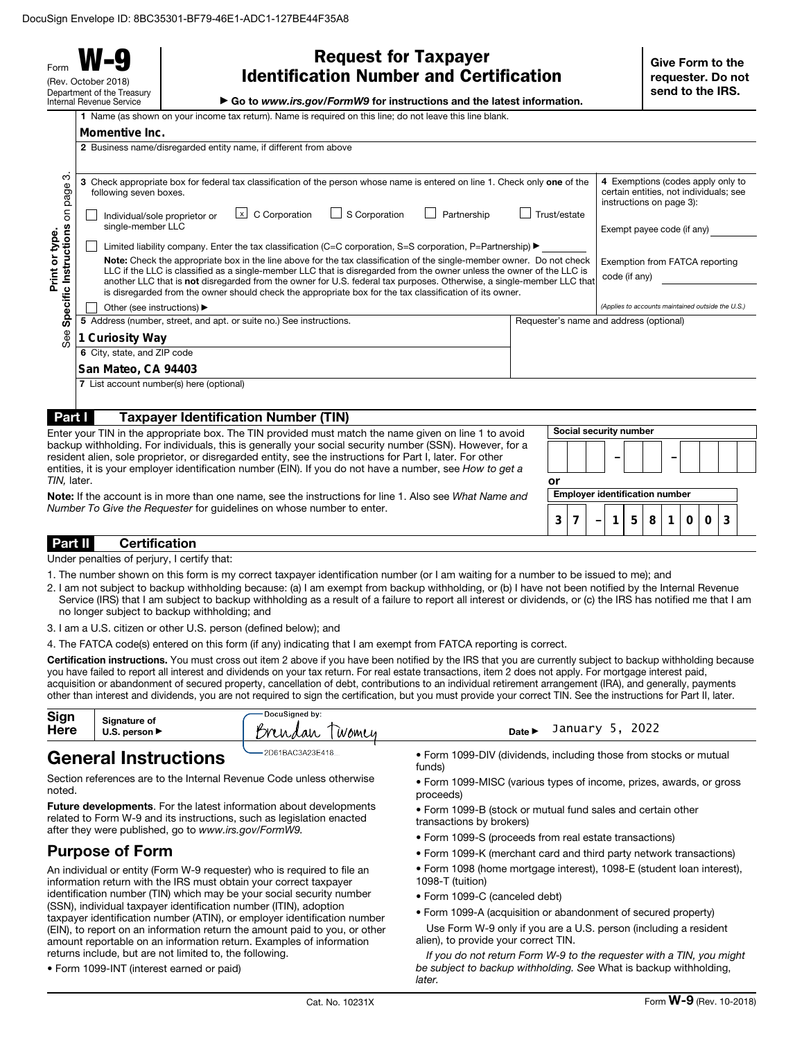Form **W-9** (Rev. October 2018) Department of the Treasury Internal Revenue Service

**Momentive Inc.**

| <b>Request for Taxpayer</b>                    |
|------------------------------------------------|
| <b>Identification Number and Certification</b> |

▶ Go to *www.irs.gov/FormW9* for instructions and the latest information.

|  |  |  | 1 Name (as shown on your income tax return). Name is required on this line; do not leave this line blank |
|--|--|--|----------------------------------------------------------------------------------------------------------|

|                                                                                                                                                         | 2 Business name/disregarded entity name, if different from above                                                                                                                                                                                                                                                                                          |                                                                                                         |  |
|---------------------------------------------------------------------------------------------------------------------------------------------------------|-----------------------------------------------------------------------------------------------------------------------------------------------------------------------------------------------------------------------------------------------------------------------------------------------------------------------------------------------------------|---------------------------------------------------------------------------------------------------------|--|
| ო<br>page                                                                                                                                               | Check appropriate box for federal tax classification of the person whose name is entered on line 1. Check only one of the<br>3<br>following seven boxes.                                                                                                                                                                                                  | 4 Exemptions (codes apply only to<br>certain entities, not individuals; see<br>instructions on page 3): |  |
| $\overline{5}$                                                                                                                                          | $\lfloor x \rfloor$ C Corporation<br>S Corporation<br>Partnership<br>Individual/sole proprietor or<br>single-member LLC                                                                                                                                                                                                                                   | Trust/estate<br>Exempt payee code (if any)                                                              |  |
|                                                                                                                                                         | Limited liability company. Enter the tax classification (C=C corporation, S=S corporation, P=Partnership) ▶                                                                                                                                                                                                                                               |                                                                                                         |  |
| Note: Check the appropriate box in the line above for the tax classification of the single-member owner. Do not check<br>Exemption from FATCA reporting |                                                                                                                                                                                                                                                                                                                                                           |                                                                                                         |  |
| Instructions<br>Print or type.                                                                                                                          | LLC if the LLC is classified as a single-member LLC that is disregarded from the owner unless the owner of the LLC is<br>another LLC that is not disregarded from the owner for U.S. federal tax purposes. Otherwise, a single-member LLC that<br>is disregarded from the owner should check the appropriate box for the tax classification of its owner. | code (if any)                                                                                           |  |
| Specific                                                                                                                                                | Other (see instructions) ▶                                                                                                                                                                                                                                                                                                                                | (Applies to accounts maintained outside the U.S.)                                                       |  |
|                                                                                                                                                         | Requester's name and address (optional)                                                                                                                                                                                                                                                                                                                   |                                                                                                         |  |
| See<br>1 Curiosity Way<br>6 City, state, and ZIP code                                                                                                   |                                                                                                                                                                                                                                                                                                                                                           |                                                                                                         |  |
|                                                                                                                                                         |                                                                                                                                                                                                                                                                                                                                                           |                                                                                                         |  |
| 7 List account number(s) here (optional)                                                                                                                |                                                                                                                                                                                                                                                                                                                                                           |                                                                                                         |  |
|                                                                                                                                                         |                                                                                                                                                                                                                                                                                                                                                           |                                                                                                         |  |
| Part I                                                                                                                                                  | <b>Taxpayer Identification Number (TIN)</b>                                                                                                                                                                                                                                                                                                               |                                                                                                         |  |
| Social security number<br>Enter your TIN in the appropriate box. The TIN provided must match the name given on line 1 to avoid                          |                                                                                                                                                                                                                                                                                                                                                           |                                                                                                         |  |
|                                                                                                                                                         | backup withholding. For individuals, this is generally your social security number (SSN). However, for a<br>resident alien, sole proprietor, or disregarded entity, see the instructions for Part I, later. For other<br>entities, it is your employer identification number (EIN). If you do not have a number, see How to get a                         |                                                                                                         |  |

Note: If the account is in more than one name, see the instructions for line 1. Also see *What Name and Number To Give the Requester* for guidelines on whose number to enter.

Part II Certification

*TIN,* later.

Under penalties of perjury, I certify that:

- 1. The number shown on this form is my correct taxpayer identification number (or I am waiting for a number to be issued to me); and
- 2. I am not subject to backup withholding because: (a) I am exempt from backup withholding, or (b) I have not been notified by the Internal Revenue Service (IRS) that I am subject to backup withholding as a result of a failure to report all interest or dividends, or (c) the IRS has notified me that I am no longer subject to backup withholding; and
- 3. I am a U.S. citizen or other U.S. person (defined below); and

4. The FATCA code(s) entered on this form (if any) indicating that I am exempt from FATCA reporting is correct.

Certification instructions. You must cross out item 2 above if you have been notified by the IRS that you are currently subject to backup withholding because you have failed to report all interest and dividends on your tax return. For real estate transactions, item 2 does not apply. For mortgage interest paid, acquisition or abandonment of secured property, cancellation of debt, contributions to an individual retirement arrangement (IRA), and generally, payments other than interest and dividends, you are not required to sign the certification, but you must provide your correct TIN. See the instructions for Part II, later.

| Sign<br><b>Here</b> | Signature of<br>U.S. person $\blacktriangleright$ | DocuSianed by:<br>m<br>Women<br>Uhdah | 2022<br>January<br>Date l                                               |
|---------------------|---------------------------------------------------|---------------------------------------|-------------------------------------------------------------------------|
| $\rightarrow$       |                                                   | $-2D61BAC3A23F418$                    | a Famo 4000 DBI (distributed to children these from stables an occident |

# General Instructions

Section references are to the Internal Revenue Code unless otherwise noted.

Future developments. For the latest information about developments related to Form W-9 and its instructions, such as legislation enacted after they were published, go to *www.irs.gov/FormW9.*

# Purpose of Form

An individual or entity (Form W-9 requester) who is required to file an information return with the IRS must obtain your correct taxpayer identification number (TIN) which may be your social security number (SSN), individual taxpayer identification number (ITIN), adoption taxpayer identification number (ATIN), or employer identification number (EIN), to report on an information return the amount paid to you, or other amount reportable on an information return. Examples of information returns include, but are not limited to, the following.

• Form 1099-INT (interest earned or paid)

- Form 1099-DIV (dividends, including those from stocks or mutual funds)
- Form 1099-MISC (various types of income, prizes, awards, or gross proceeds)
- Form 1099-B (stock or mutual fund sales and certain other transactions by brokers)

or

Employer identification number

**3 7 1 5 8 1 0 0 3**

–

- Form 1099-S (proceeds from real estate transactions)
- Form 1099-K (merchant card and third party network transactions)
- Form 1098 (home mortgage interest), 1098-E (student loan interest),
- 1098-T (tuition)
- Form 1099-C (canceled debt)
- Form 1099-A (acquisition or abandonment of secured property)
- Use Form W-9 only if you are a U.S. person (including a resident alien), to provide your correct TIN.

*If you do not return Form W-9 to the requester with a TIN, you might be subject to backup withholding. See* What is backup withholding, *later.*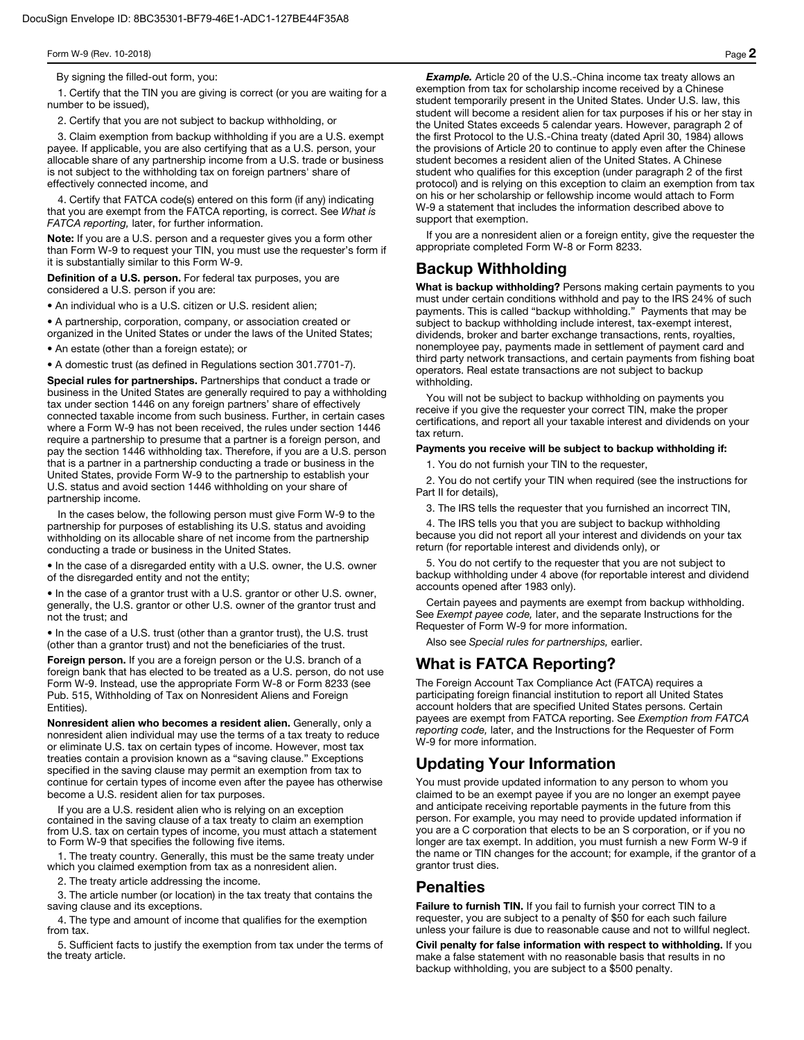By signing the filled-out form, you:

1. Certify that the TIN you are giving is correct (or you are waiting for a number to be issued),

2. Certify that you are not subject to backup withholding, or

3. Claim exemption from backup withholding if you are a U.S. exempt payee. If applicable, you are also certifying that as a U.S. person, your allocable share of any partnership income from a U.S. trade or business is not subject to the withholding tax on foreign partners' share of effectively connected income, and

4. Certify that FATCA code(s) entered on this form (if any) indicating that you are exempt from the FATCA reporting, is correct. See *What is FATCA reporting,* later, for further information.

Note: If you are a U.S. person and a requester gives you a form other than Form W-9 to request your TIN, you must use the requester's form if it is substantially similar to this Form W-9.

Definition of a U.S. person. For federal tax purposes, you are considered a U.S. person if you are:

• An individual who is a U.S. citizen or U.S. resident alien;

• A partnership, corporation, company, or association created or organized in the United States or under the laws of the United States;

• An estate (other than a foreign estate); or

• A domestic trust (as defined in Regulations section 301.7701-7).

Special rules for partnerships. Partnerships that conduct a trade or business in the United States are generally required to pay a withholding tax under section 1446 on any foreign partners' share of effectively connected taxable income from such business. Further, in certain cases where a Form W-9 has not been received, the rules under section 1446 require a partnership to presume that a partner is a foreign person, and pay the section 1446 withholding tax. Therefore, if you are a U.S. person that is a partner in a partnership conducting a trade or business in the United States, provide Form W-9 to the partnership to establish your U.S. status and avoid section 1446 withholding on your share of partnership income.

In the cases below, the following person must give Form W-9 to the partnership for purposes of establishing its U.S. status and avoiding withholding on its allocable share of net income from the partnership conducting a trade or business in the United States.

• In the case of a disregarded entity with a U.S. owner, the U.S. owner of the disregarded entity and not the entity;

• In the case of a grantor trust with a U.S. grantor or other U.S. owner, generally, the U.S. grantor or other U.S. owner of the grantor trust and not the trust; and

• In the case of a U.S. trust (other than a grantor trust), the U.S. trust (other than a grantor trust) and not the beneficiaries of the trust.

Foreign person. If you are a foreign person or the U.S. branch of a foreign bank that has elected to be treated as a U.S. person, do not use Form W-9. Instead, use the appropriate Form W-8 or Form 8233 (see Pub. 515, Withholding of Tax on Nonresident Aliens and Foreign Entities).

Nonresident alien who becomes a resident alien. Generally, only a nonresident alien individual may use the terms of a tax treaty to reduce or eliminate U.S. tax on certain types of income. However, most tax treaties contain a provision known as a "saving clause." Exceptions specified in the saving clause may permit an exemption from tax to continue for certain types of income even after the payee has otherwise become a U.S. resident alien for tax purposes.

If you are a U.S. resident alien who is relying on an exception contained in the saving clause of a tax treaty to claim an exemption from U.S. tax on certain types of income, you must attach a statement to Form W-9 that specifies the following five items.

1. The treaty country. Generally, this must be the same treaty under which you claimed exemption from tax as a nonresident alien.

2. The treaty article addressing the income.

3. The article number (or location) in the tax treaty that contains the saving clause and its exceptions.

4. The type and amount of income that qualifies for the exemption from tax.

5. Sufficient facts to justify the exemption from tax under the terms of the treaty article.

**Example.** Article 20 of the U.S.-China income tax treaty allows an exemption from tax for scholarship income received by a Chinese student temporarily present in the United States. Under U.S. law, this student will become a resident alien for tax purposes if his or her stay in the United States exceeds 5 calendar years. However, paragraph 2 of the first Protocol to the U.S.-China treaty (dated April 30, 1984) allows the provisions of Article 20 to continue to apply even after the Chinese student becomes a resident alien of the United States. A Chinese student who qualifies for this exception (under paragraph 2 of the first protocol) and is relying on this exception to claim an exemption from tax on his or her scholarship or fellowship income would attach to Form W-9 a statement that includes the information described above to support that exemption.

If you are a nonresident alien or a foreign entity, give the requester the appropriate completed Form W-8 or Form 8233.

## Backup Withholding

What is backup withholding? Persons making certain payments to you must under certain conditions withhold and pay to the IRS 24% of such payments. This is called "backup withholding." Payments that may be subject to backup withholding include interest, tax-exempt interest, dividends, broker and barter exchange transactions, rents, royalties, nonemployee pay, payments made in settlement of payment card and third party network transactions, and certain payments from fishing boat operators. Real estate transactions are not subject to backup withholding.

You will not be subject to backup withholding on payments you receive if you give the requester your correct TIN, make the proper certifications, and report all your taxable interest and dividends on your tax return.

#### Payments you receive will be subject to backup withholding if:

1. You do not furnish your TIN to the requester,

2. You do not certify your TIN when required (see the instructions for Part II for details),

3. The IRS tells the requester that you furnished an incorrect TIN,

4. The IRS tells you that you are subject to backup withholding because you did not report all your interest and dividends on your tax return (for reportable interest and dividends only), or

5. You do not certify to the requester that you are not subject to backup withholding under 4 above (for reportable interest and dividend accounts opened after 1983 only).

Certain payees and payments are exempt from backup withholding. See *Exempt payee code,* later, and the separate Instructions for the Requester of Form W-9 for more information.

Also see *Special rules for partnerships,* earlier.

## What is FATCA Reporting?

The Foreign Account Tax Compliance Act (FATCA) requires a participating foreign financial institution to report all United States account holders that are specified United States persons. Certain payees are exempt from FATCA reporting. See *Exemption from FATCA reporting code,* later, and the Instructions for the Requester of Form W-9 for more information.

# Updating Your Information

You must provide updated information to any person to whom you claimed to be an exempt payee if you are no longer an exempt payee and anticipate receiving reportable payments in the future from this person. For example, you may need to provide updated information if you are a C corporation that elects to be an S corporation, or if you no longer are tax exempt. In addition, you must furnish a new Form W-9 if the name or TIN changes for the account; for example, if the grantor of a grantor trust dies.

## **Penalties**

Failure to furnish TIN. If you fail to furnish your correct TIN to a requester, you are subject to a penalty of \$50 for each such failure unless your failure is due to reasonable cause and not to willful neglect.

Civil penalty for false information with respect to withholding. If you make a false statement with no reasonable basis that results in no backup withholding, you are subject to a \$500 penalty.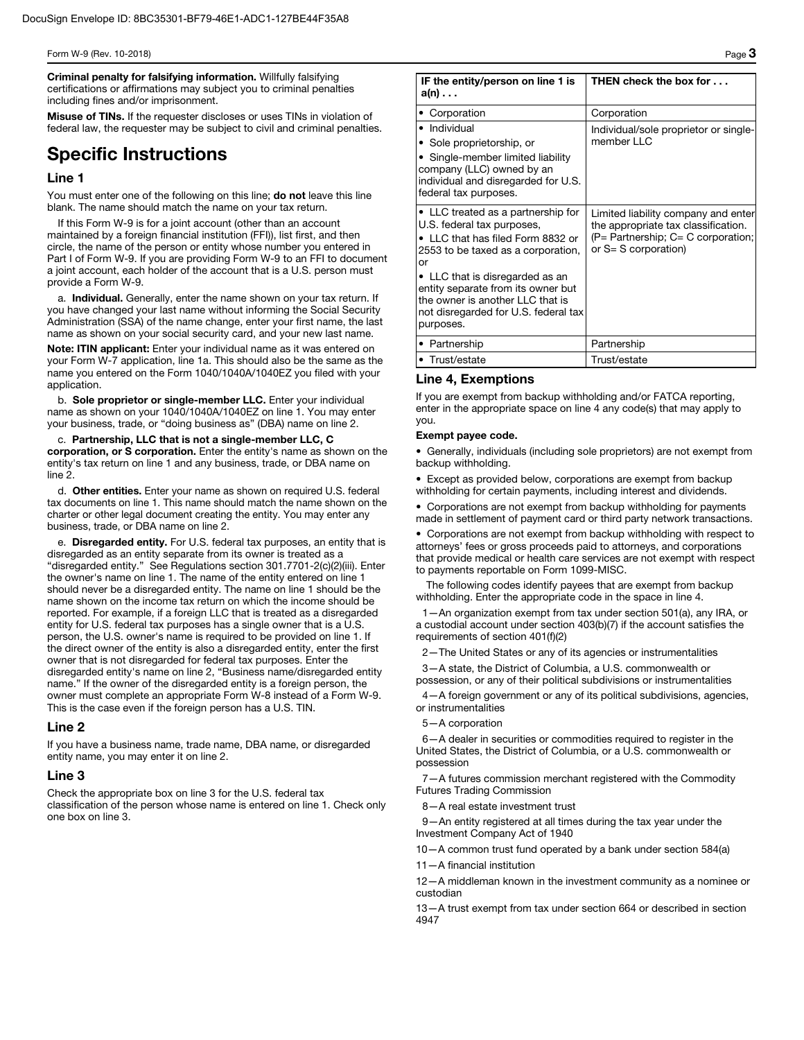Criminal penalty for falsifying information. Willfully falsifying certifications or affirmations may subject you to criminal penalties including fines and/or imprisonment.

Misuse of TINs. If the requester discloses or uses TINs in violation of federal law, the requester may be subject to civil and criminal penalties.

# Specific Instructions

### Line 1

You must enter one of the following on this line; do not leave this line blank. The name should match the name on your tax return.

If this Form W-9 is for a joint account (other than an account maintained by a foreign financial institution (FFI)), list first, and then circle, the name of the person or entity whose number you entered in Part I of Form W-9. If you are providing Form W-9 to an FFI to document a joint account, each holder of the account that is a U.S. person must provide a Form W-9.

a. Individual. Generally, enter the name shown on your tax return. If you have changed your last name without informing the Social Security Administration (SSA) of the name change, enter your first name, the last name as shown on your social security card, and your new last name.

Note: ITIN applicant: Enter your individual name as it was entered on your Form W-7 application, line 1a. This should also be the same as the name you entered on the Form 1040/1040A/1040EZ you filed with your application.

b. Sole proprietor or single-member LLC. Enter your individual name as shown on your 1040/1040A/1040EZ on line 1. You may enter your business, trade, or "doing business as" (DBA) name on line 2.

c. Partnership, LLC that is not a single-member LLC, C corporation, or S corporation. Enter the entity's name as shown on the entity's tax return on line 1 and any business, trade, or DBA name on line 2.

d. Other entities. Enter your name as shown on required U.S. federal tax documents on line 1. This name should match the name shown on the charter or other legal document creating the entity. You may enter any business, trade, or DBA name on line 2.

e. Disregarded entity. For U.S. federal tax purposes, an entity that is disregarded as an entity separate from its owner is treated as a "disregarded entity." See Regulations section 301.7701-2(c)(2)(iii). Enter the owner's name on line 1. The name of the entity entered on line 1 should never be a disregarded entity. The name on line 1 should be the name shown on the income tax return on which the income should be reported. For example, if a foreign LLC that is treated as a disregarded entity for U.S. federal tax purposes has a single owner that is a U.S. person, the U.S. owner's name is required to be provided on line 1. If the direct owner of the entity is also a disregarded entity, enter the first owner that is not disregarded for federal tax purposes. Enter the disregarded entity's name on line 2, "Business name/disregarded entity name." If the owner of the disregarded entity is a foreign person, the owner must complete an appropriate Form W-8 instead of a Form W-9. This is the case even if the foreign person has a U.S. TIN.

### Line 2

If you have a business name, trade name, DBA name, or disregarded entity name, you may enter it on line 2.

#### Line 3

Check the appropriate box on line 3 for the U.S. federal tax classification of the person whose name is entered on line 1. Check only one box on line 3.

| IF the entity/person on line 1 is<br>$a(n) \ldots$                                                                                                                                                                                                                                                                  | THEN check the box for                                                                                                                            |
|---------------------------------------------------------------------------------------------------------------------------------------------------------------------------------------------------------------------------------------------------------------------------------------------------------------------|---------------------------------------------------------------------------------------------------------------------------------------------------|
| • Corporation                                                                                                                                                                                                                                                                                                       | Corporation                                                                                                                                       |
| • Individual<br>• Sole proprietorship, or<br>• Single-member limited liability<br>company (LLC) owned by an<br>individual and disregarded for U.S.<br>federal tax purposes.                                                                                                                                         | Individual/sole proprietor or single-<br>member LLC                                                                                               |
| • LLC treated as a partnership for<br>U.S. federal tax purposes,<br>• LLC that has filed Form 8832 or<br>2553 to be taxed as a corporation,<br>or<br>• LLC that is disregarded as an<br>entity separate from its owner but<br>the owner is another LLC that is<br>not disregarded for U.S. federal tax<br>purposes. | Limited liability company and enter<br>the appropriate tax classification.<br>$(P =$ Partnership; $C = C$ corporation;<br>or $S = S$ corporation) |
| • Partnership                                                                                                                                                                                                                                                                                                       | Partnership                                                                                                                                       |
| • Trust/estate                                                                                                                                                                                                                                                                                                      | Trust/estate                                                                                                                                      |

### Line 4, Exemptions

If you are exempt from backup withholding and/or FATCA reporting, enter in the appropriate space on line 4 any code(s) that may apply to you.

#### Exempt payee code.

• Generally, individuals (including sole proprietors) are not exempt from backup withholding.

• Except as provided below, corporations are exempt from backup withholding for certain payments, including interest and dividends.

• Corporations are not exempt from backup withholding for payments made in settlement of payment card or third party network transactions.

• Corporations are not exempt from backup withholding with respect to attorneys' fees or gross proceeds paid to attorneys, and corporations that provide medical or health care services are not exempt with respect to payments reportable on Form 1099-MISC.

The following codes identify payees that are exempt from backup withholding. Enter the appropriate code in the space in line 4.

1—An organization exempt from tax under section 501(a), any IRA, or a custodial account under section 403(b)(7) if the account satisfies the requirements of section 401(f)(2)

2—The United States or any of its agencies or instrumentalities

3—A state, the District of Columbia, a U.S. commonwealth or possession, or any of their political subdivisions or instrumentalities

4—A foreign government or any of its political subdivisions, agencies, or instrumentalities

#### 5—A corporation

6—A dealer in securities or commodities required to register in the United States, the District of Columbia, or a U.S. commonwealth or possession

7—A futures commission merchant registered with the Commodity Futures Trading Commission

8—A real estate investment trust

9—An entity registered at all times during the tax year under the Investment Company Act of 1940

10—A common trust fund operated by a bank under section 584(a)

11—A financial institution

12—A middleman known in the investment community as a nominee or custodian

13—A trust exempt from tax under section 664 or described in section 4947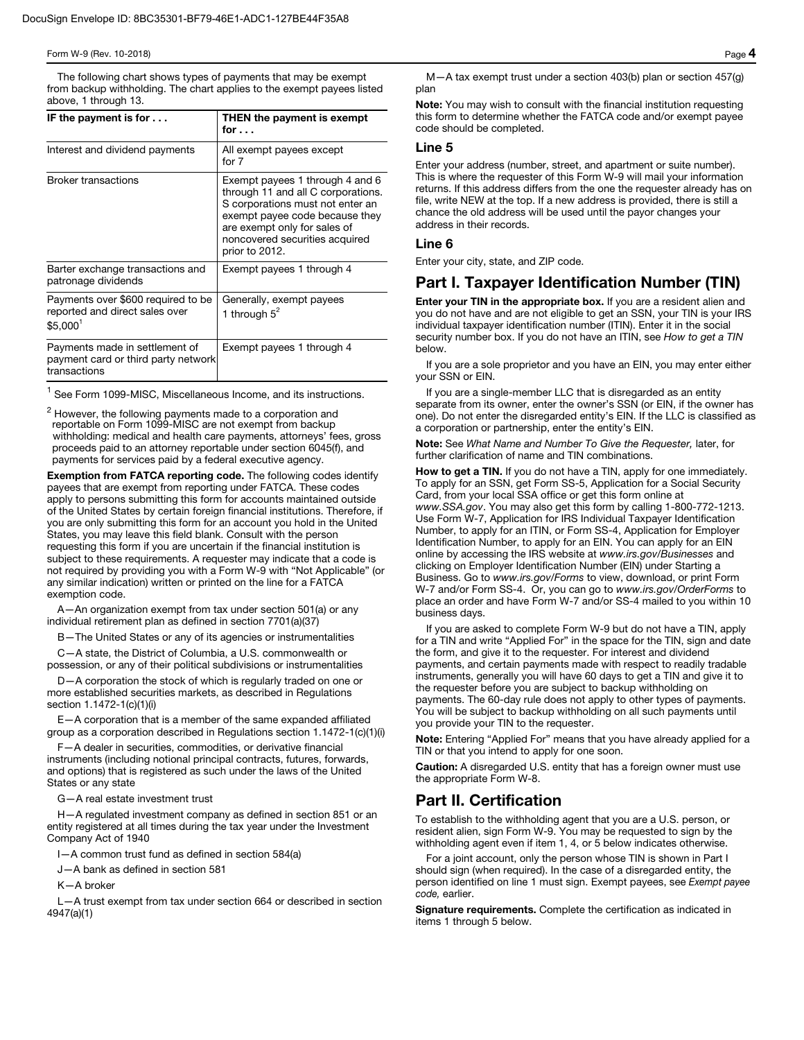### Form W-9 (Rev. 10-2018) Page  $\boldsymbol{4}$

The following chart shows types of payments that may be exempt from backup withholding. The chart applies to the exempt payees listed above, 1 through 13.

| IF the payment is for $\dots$                                                                | THEN the payment is exempt<br>for $\ldots$                                                                                                                                                                                      |
|----------------------------------------------------------------------------------------------|---------------------------------------------------------------------------------------------------------------------------------------------------------------------------------------------------------------------------------|
| Interest and dividend payments                                                               | All exempt payees except<br>for $7$                                                                                                                                                                                             |
| <b>Broker transactions</b>                                                                   | Exempt payees 1 through 4 and 6<br>through 11 and all C corporations.<br>S corporations must not enter an<br>exempt payee code because they<br>are exempt only for sales of<br>noncovered securities acquired<br>prior to 2012. |
| Barter exchange transactions and<br>patronage dividends                                      | Exempt payees 1 through 4                                                                                                                                                                                                       |
| Payments over \$600 required to be<br>reported and direct sales over<br>\$5.000 <sup>1</sup> | Generally, exempt payees<br>1 through $5^2$                                                                                                                                                                                     |
| Payments made in settlement of<br>payment card or third party network<br>transactions        | Exempt payees 1 through 4                                                                                                                                                                                                       |

 $<sup>1</sup>$  See Form 1099-MISC, Miscellaneous Income, and its instructions.</sup>

 $^2$  However, the following payments made to a corporation and<br>reportable on Form 1099-MISC are not exempt from backup withholding: medical and health care payments, attorneys' fees, gross proceeds paid to an attorney reportable under section 6045(f), and payments for services paid by a federal executive agency.

Exemption from FATCA reporting code. The following codes identify payees that are exempt from reporting under FATCA. These codes apply to persons submitting this form for accounts maintained outside of the United States by certain foreign financial institutions. Therefore, if you are only submitting this form for an account you hold in the United States, you may leave this field blank. Consult with the person requesting this form if you are uncertain if the financial institution is subject to these requirements. A requester may indicate that a code is not required by providing you with a Form W-9 with "Not Applicable" (or any similar indication) written or printed on the line for a FATCA exemption code.

A—An organization exempt from tax under section 501(a) or any individual retirement plan as defined in section 7701(a)(37)

- The United States or any of its agencies or instrumentalities

C—A state, the District of Columbia, a U.S. commonwealth or possession, or any of their political subdivisions or instrumentalities

D—A corporation the stock of which is regularly traded on one or more established securities markets, as described in Regulations section 1.1472-1(c)(1)(i)

E—A corporation that is a member of the same expanded affiliated group as a corporation described in Regulations section 1.1472-1(c)(1)(i)

F—A dealer in securities, commodities, or derivative financial instruments (including notional principal contracts, futures, forwards, and options) that is registered as such under the laws of the United States or any state

G—A real estate investment trust

H—A regulated investment company as defined in section 851 or an entity registered at all times during the tax year under the Investment Company Act of 1940

I—A common trust fund as defined in section 584(a)

J—A bank as defined in section 581

K—A broker

L—A trust exempt from tax under section 664 or described in section 4947(a)(1)

M—A tax exempt trust under a section 403(b) plan or section 457(g) plan

Note: You may wish to consult with the financial institution requesting this form to determine whether the FATCA code and/or exempt payee code should be completed.

### Line 5

Enter your address (number, street, and apartment or suite number). This is where the requester of this Form W-9 will mail your information returns. If this address differs from the one the requester already has on file, write NEW at the top. If a new address is provided, there is still a chance the old address will be used until the payor changes your address in their records.

### Line 6

Enter your city, state, and ZIP code.

## Part I. Taxpayer Identification Number (TIN)

Enter your TIN in the appropriate box. If you are a resident alien and you do not have and are not eligible to get an SSN, your TIN is your IRS individual taxpayer identification number (ITIN). Enter it in the social security number box. If you do not have an ITIN, see *How to get a TIN*  below.

If you are a sole proprietor and you have an EIN, you may enter either your SSN or EIN.

If you are a single-member LLC that is disregarded as an entity separate from its owner, enter the owner's SSN (or EIN, if the owner has one). Do not enter the disregarded entity's EIN. If the LLC is classified as a corporation or partnership, enter the entity's EIN.

Note: See *What Name and Number To Give the Requester,* later, for further clarification of name and TIN combinations.

How to get a TIN. If you do not have a TIN, apply for one immediately. To apply for an SSN, get Form SS-5, Application for a Social Security Card, from your local SSA office or get this form online at *www.SSA.gov*. You may also get this form by calling 1-800-772-1213. Use Form W-7, Application for IRS Individual Taxpayer Identification Number, to apply for an ITIN, or Form SS-4, Application for Employer Identification Number, to apply for an EIN. You can apply for an EIN online by accessing the IRS website at *www.irs.gov/Businesses* and clicking on Employer Identification Number (EIN) under Starting a Business. Go to *www.irs.gov/Forms* to view, download, or print Form W-7 and/or Form SS-4. Or, you can go to *www.irs.gov/OrderForms* to place an order and have Form W-7 and/or SS-4 mailed to you within 10 business days.

If you are asked to complete Form W-9 but do not have a TIN, apply for a TIN and write "Applied For" in the space for the TIN, sign and date the form, and give it to the requester. For interest and dividend payments, and certain payments made with respect to readily tradable instruments, generally you will have 60 days to get a TIN and give it to the requester before you are subject to backup withholding on payments. The 60-day rule does not apply to other types of payments. You will be subject to backup withholding on all such payments until you provide your TIN to the requester.

Note: Entering "Applied For" means that you have already applied for a TIN or that you intend to apply for one soon.

Caution: A disregarded U.S. entity that has a foreign owner must use the appropriate Form W-8.

## Part II. Certification

To establish to the withholding agent that you are a U.S. person, or resident alien, sign Form W-9. You may be requested to sign by the withholding agent even if item 1, 4, or 5 below indicates otherwise.

For a joint account, only the person whose TIN is shown in Part I should sign (when required). In the case of a disregarded entity, the person identified on line 1 must sign. Exempt payees, see *Exempt payee code,* earlier.

Signature requirements. Complete the certification as indicated in items 1 through 5 below.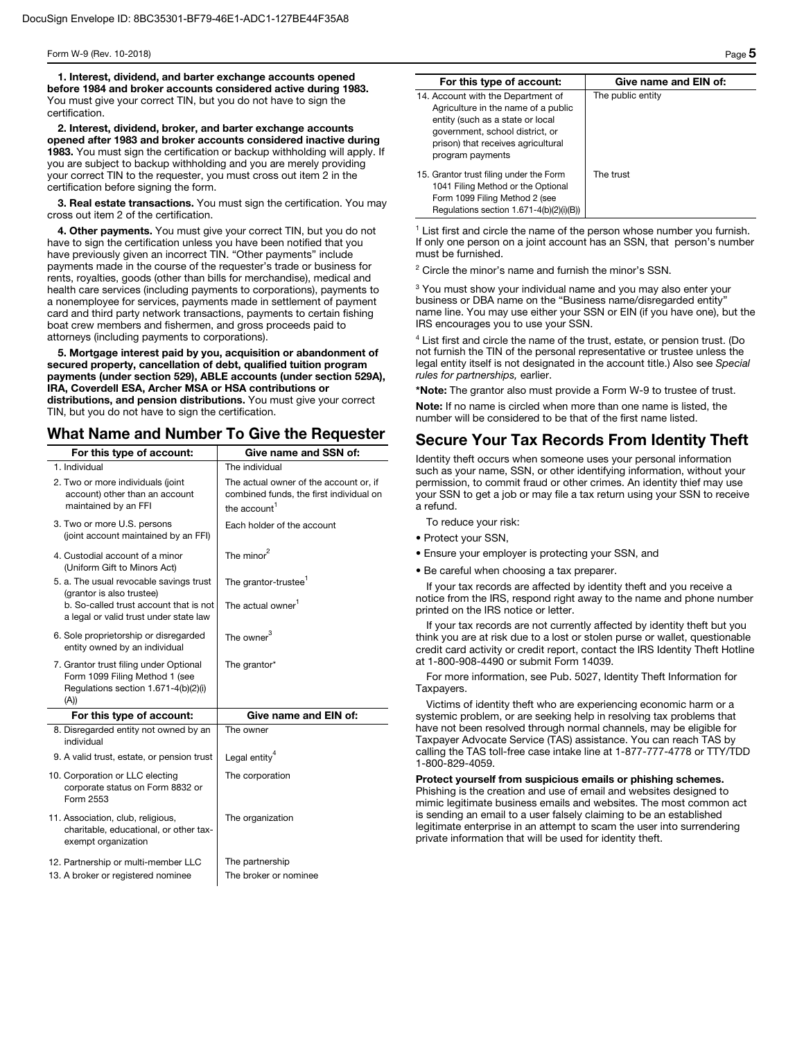1. Interest, dividend, and barter exchange accounts opened before 1984 and broker accounts considered active during 1983. You must give your correct TIN, but you do not have to sign the certification.

2. Interest, dividend, broker, and barter exchange accounts opened after 1983 and broker accounts considered inactive during 1983. You must sign the certification or backup withholding will apply. If you are subject to backup withholding and you are merely providing your correct TIN to the requester, you must cross out item 2 in the certification before signing the form.

3. Real estate transactions. You must sign the certification. You may cross out item 2 of the certification.

4. Other payments. You must give your correct TIN, but you do not have to sign the certification unless you have been notified that you have previously given an incorrect TIN. "Other payments" include payments made in the course of the requester's trade or business for rents, royalties, goods (other than bills for merchandise), medical and health care services (including payments to corporations), payments to a nonemployee for services, payments made in settlement of payment card and third party network transactions, payments to certain fishing boat crew members and fishermen, and gross proceeds paid to attorneys (including payments to corporations).

5. Mortgage interest paid by you, acquisition or abandonment of secured property, cancellation of debt, qualified tuition program payments (under section 529), ABLE accounts (under section 529A), IRA, Coverdell ESA, Archer MSA or HSA contributions or distributions, and pension distributions. You must give your correct TIN, but you do not have to sign the certification.

## What Name and Number To Give the Requester

| For this type of account:                                                                                                | Give name and SSN of:                                                                                         |
|--------------------------------------------------------------------------------------------------------------------------|---------------------------------------------------------------------------------------------------------------|
| 1. Individual                                                                                                            | The individual                                                                                                |
| 2. Two or more individuals (joint<br>account) other than an account<br>maintained by an FFI                              | The actual owner of the account or, if<br>combined funds, the first individual on<br>the account <sup>1</sup> |
| 3. Two or more U.S. persons<br>(joint account maintained by an FFI)                                                      | Each holder of the account                                                                                    |
| 4. Custodial account of a minor<br>(Uniform Gift to Minors Act)                                                          | The minor $^2$                                                                                                |
| 5. a. The usual revocable savings trust<br>(grantor is also trustee)                                                     | The grantor-trustee <sup>1</sup>                                                                              |
| b. So-called trust account that is not<br>a legal or valid trust under state law                                         | The actual owner <sup>1</sup>                                                                                 |
| 6. Sole proprietorship or disregarded<br>entity owned by an individual                                                   | The owner $^3$                                                                                                |
| 7. Grantor trust filing under Optional<br>Form 1099 Filing Method 1 (see<br>Regulations section 1.671-4(b)(2)(i)<br>(A)) | The grantor*                                                                                                  |
| For this type of account:                                                                                                | Give name and EIN of:                                                                                         |
| 8. Disregarded entity not owned by an<br>individual                                                                      | The owner                                                                                                     |
| 9. A valid trust, estate, or pension trust                                                                               | Legal entity <sup>4</sup>                                                                                     |
| 10. Corporation or LLC electing<br>corporate status on Form 8832 or<br>Form 2553                                         | The corporation                                                                                               |
| 11. Association, club, religious,<br>charitable, educational, or other tax-<br>exempt organization                       | The organization                                                                                              |
| 12. Partnership or multi-member LLC<br>13. A broker or registered nominee                                                | The partnership<br>The broker or nominee                                                                      |

| For this type of account:                                                                                                                                                                                  | Give name and EIN of: |
|------------------------------------------------------------------------------------------------------------------------------------------------------------------------------------------------------------|-----------------------|
| 14. Account with the Department of<br>Agriculture in the name of a public<br>entity (such as a state or local<br>government, school district, or<br>prison) that receives agricultural<br>program payments | The public entity     |
| 15. Grantor trust filing under the Form<br>1041 Filing Method or the Optional<br>Form 1099 Filing Method 2 (see<br>Regulations section 1.671-4(b)(2)(i)(B))                                                | The trust             |

<sup>1</sup> List first and circle the name of the person whose number you furnish. If only one person on a joint account has an SSN, that person's number must be furnished.

<sup>2</sup> Circle the minor's name and furnish the minor's SSN.

<sup>3</sup> You must show your individual name and you may also enter your business or DBA name on the "Business name/disregarded entity" name line. You may use either your SSN or EIN (if you have one), but the IRS encourages you to use your SSN.

<sup>4</sup> List first and circle the name of the trust, estate, or pension trust. (Do not furnish the TIN of the personal representative or trustee unless the legal entity itself is not designated in the account title.) Also see *Special rules for partnerships,* earlier.

\*Note: The grantor also must provide a Form W-9 to trustee of trust.

Note: If no name is circled when more than one name is listed, the number will be considered to be that of the first name listed.

# Secure Your Tax Records From Identity Theft

Identity theft occurs when someone uses your personal information such as your name, SSN, or other identifying information, without your permission, to commit fraud or other crimes. An identity thief may use your SSN to get a job or may file a tax return using your SSN to receive a refund.

To reduce your risk:

- Protect your SSN,
- Ensure your employer is protecting your SSN, and
- Be careful when choosing a tax preparer.

If your tax records are affected by identity theft and you receive a notice from the IRS, respond right away to the name and phone number printed on the IRS notice or letter.

If your tax records are not currently affected by identity theft but you think you are at risk due to a lost or stolen purse or wallet, questionable credit card activity or credit report, contact the IRS Identity Theft Hotline at 1-800-908-4490 or submit Form 14039.

For more information, see Pub. 5027, Identity Theft Information for Taxpayers.

Victims of identity theft who are experiencing economic harm or a systemic problem, or are seeking help in resolving tax problems that have not been resolved through normal channels, may be eligible for Taxpayer Advocate Service (TAS) assistance. You can reach TAS by calling the TAS toll-free case intake line at 1-877-777-4778 or TTY/TDD 1-800-829-4059.

Protect yourself from suspicious emails or phishing schemes. Phishing is the creation and use of email and websites designed to mimic legitimate business emails and websites. The most common act is sending an email to a user falsely claiming to be an established legitimate enterprise in an attempt to scam the user into surrendering private information that will be used for identity theft.